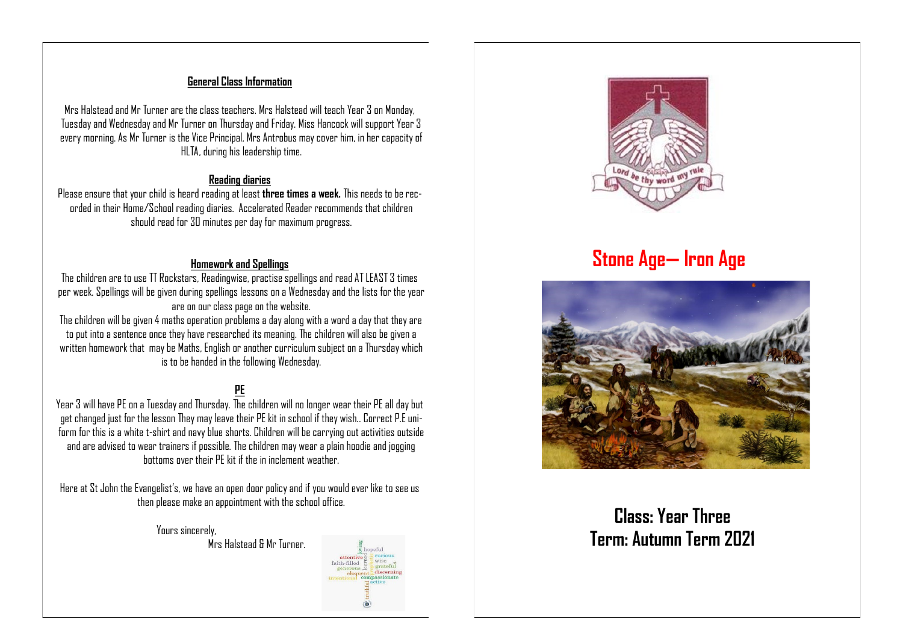### **General Class Information**

Mrs Halstead and Mr Turner are the class teachers. Mrs Halstead will teach Year 3 on Monday, Tuesday and Wednesday and Mr Turner on Thursday and Friday. Miss Hancock will support Year 3 every morning. As Mr Turner is the Vice Principal, Mrs Antrobus may cover him, in her capacity of HLTA, during his leadership time.

#### **Reading diaries**

Please ensure that your child is heard reading at least **three times a week.** This needs to be recorded in their Home/School reading diaries. Accelerated Reader recommends that children should read for 30 minutes per day for maximum progress.

### **Homework and Spellings**

The children are to use TT Rockstars, Readingwise, practise spellings and read AT LEAST 3 times per week. Spellings will be given during spellings lessons on a Wednesday and the lists for the year are on our class page on the website.

The children will be given 4 maths operation problems a day along with a word a day that they are to put into a sentence once they have researched its meaning. The children will also be given a written homework that may be Maths, English or another curriculum subject on a Thursday which is to be handed in the following Wednesday.

# **PE**

Year 3 will have PE on a Tuesday and Thursday. The children will no longer wear their PE all day but get changed just for the lesson They may leave their PE kit in school if they wish.. Correct P.E uniform for this is a white t-shirt and navy blue shorts. Children will be carrying out activities outside and are advised to wear trainers if possible. The children may wear a plain hoodie and jogging bottoms over their PE kit if the in inclement weather.

Here at St John the Evangelist's, we have an open door policy and if you would ever like to see us then please make an appointment with the school office.

> Yours sincerely, Mrs Halstead & Mr Turner.



# **Stone Age— Iron Age**



# **Class: Year Three Term: Autumn Term 2021**